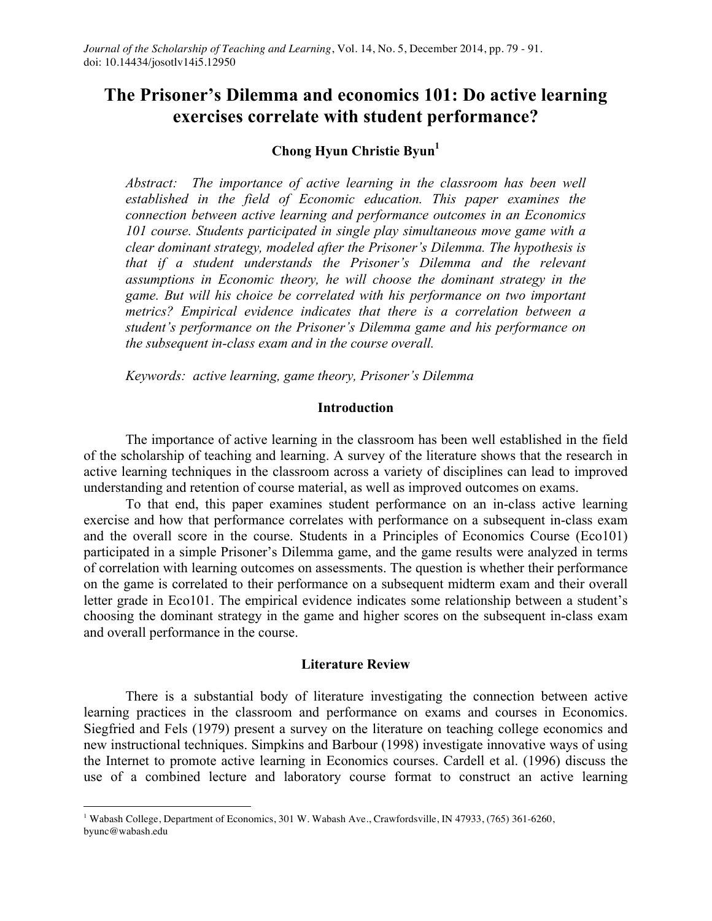# **The Prisoner's Dilemma and economics 101: Do active learning exercises correlate with student performance?**

# **Chong Hyun Christie Byun1**

*Abstract: The importance of active learning in the classroom has been well established in the field of Economic education. This paper examines the connection between active learning and performance outcomes in an Economics 101 course. Students participated in single play simultaneous move game with a clear dominant strategy, modeled after the Prisoner's Dilemma. The hypothesis is that if a student understands the Prisoner's Dilemma and the relevant assumptions in Economic theory, he will choose the dominant strategy in the game. But will his choice be correlated with his performance on two important metrics? Empirical evidence indicates that there is a correlation between a student's performance on the Prisoner's Dilemma game and his performance on the subsequent in-class exam and in the course overall.*

*Keywords: active learning, game theory, Prisoner's Dilemma*

#### **Introduction**

The importance of active learning in the classroom has been well established in the field of the scholarship of teaching and learning. A survey of the literature shows that the research in active learning techniques in the classroom across a variety of disciplines can lead to improved understanding and retention of course material, as well as improved outcomes on exams.

To that end, this paper examines student performance on an in-class active learning exercise and how that performance correlates with performance on a subsequent in-class exam and the overall score in the course. Students in a Principles of Economics Course (Eco101) participated in a simple Prisoner's Dilemma game, and the game results were analyzed in terms of correlation with learning outcomes on assessments. The question is whether their performance on the game is correlated to their performance on a subsequent midterm exam and their overall letter grade in Eco101. The empirical evidence indicates some relationship between a student's choosing the dominant strategy in the game and higher scores on the subsequent in-class exam and overall performance in the course.

#### **Literature Review**

There is a substantial body of literature investigating the connection between active learning practices in the classroom and performance on exams and courses in Economics. Siegfried and Fels (1979) present a survey on the literature on teaching college economics and new instructional techniques. Simpkins and Barbour (1998) investigate innovative ways of using the Internet to promote active learning in Economics courses. Cardell et al. (1996) discuss the use of a combined lecture and laboratory course format to construct an active learning

 <sup>1</sup> Wabash College, Department of Economics, 301 W. Wabash Ave., Crawfordsville, IN 47933, (765) 361-6260, byunc@wabash.edu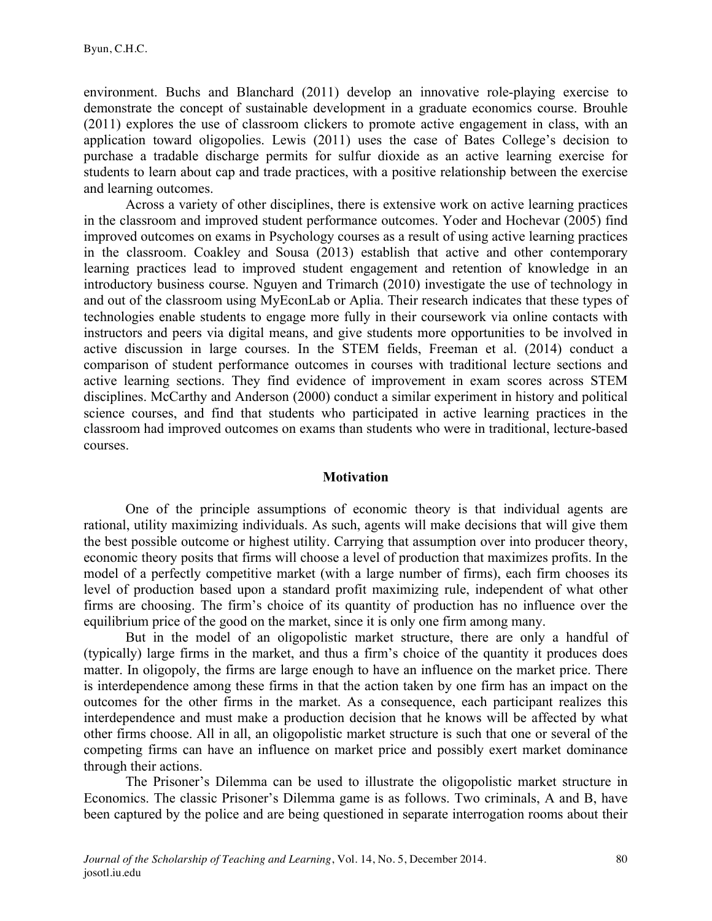environment. Buchs and Blanchard (2011) develop an innovative role-playing exercise to demonstrate the concept of sustainable development in a graduate economics course. Brouhle (2011) explores the use of classroom clickers to promote active engagement in class, with an application toward oligopolies. Lewis (2011) uses the case of Bates College's decision to purchase a tradable discharge permits for sulfur dioxide as an active learning exercise for students to learn about cap and trade practices, with a positive relationship between the exercise and learning outcomes.

Across a variety of other disciplines, there is extensive work on active learning practices in the classroom and improved student performance outcomes. Yoder and Hochevar (2005) find improved outcomes on exams in Psychology courses as a result of using active learning practices in the classroom. Coakley and Sousa (2013) establish that active and other contemporary learning practices lead to improved student engagement and retention of knowledge in an introductory business course. Nguyen and Trimarch (2010) investigate the use of technology in and out of the classroom using MyEconLab or Aplia. Their research indicates that these types of technologies enable students to engage more fully in their coursework via online contacts with instructors and peers via digital means, and give students more opportunities to be involved in active discussion in large courses. In the STEM fields, Freeman et al. (2014) conduct a comparison of student performance outcomes in courses with traditional lecture sections and active learning sections. They find evidence of improvement in exam scores across STEM disciplines. McCarthy and Anderson (2000) conduct a similar experiment in history and political science courses, and find that students who participated in active learning practices in the classroom had improved outcomes on exams than students who were in traditional, lecture-based courses.

#### **Motivation**

One of the principle assumptions of economic theory is that individual agents are rational, utility maximizing individuals. As such, agents will make decisions that will give them the best possible outcome or highest utility. Carrying that assumption over into producer theory, economic theory posits that firms will choose a level of production that maximizes profits. In the model of a perfectly competitive market (with a large number of firms), each firm chooses its level of production based upon a standard profit maximizing rule, independent of what other firms are choosing. The firm's choice of its quantity of production has no influence over the equilibrium price of the good on the market, since it is only one firm among many.

But in the model of an oligopolistic market structure, there are only a handful of (typically) large firms in the market, and thus a firm's choice of the quantity it produces does matter. In oligopoly, the firms are large enough to have an influence on the market price. There is interdependence among these firms in that the action taken by one firm has an impact on the outcomes for the other firms in the market. As a consequence, each participant realizes this interdependence and must make a production decision that he knows will be affected by what other firms choose. All in all, an oligopolistic market structure is such that one or several of the competing firms can have an influence on market price and possibly exert market dominance through their actions.

The Prisoner's Dilemma can be used to illustrate the oligopolistic market structure in Economics. The classic Prisoner's Dilemma game is as follows. Two criminals, A and B, have been captured by the police and are being questioned in separate interrogation rooms about their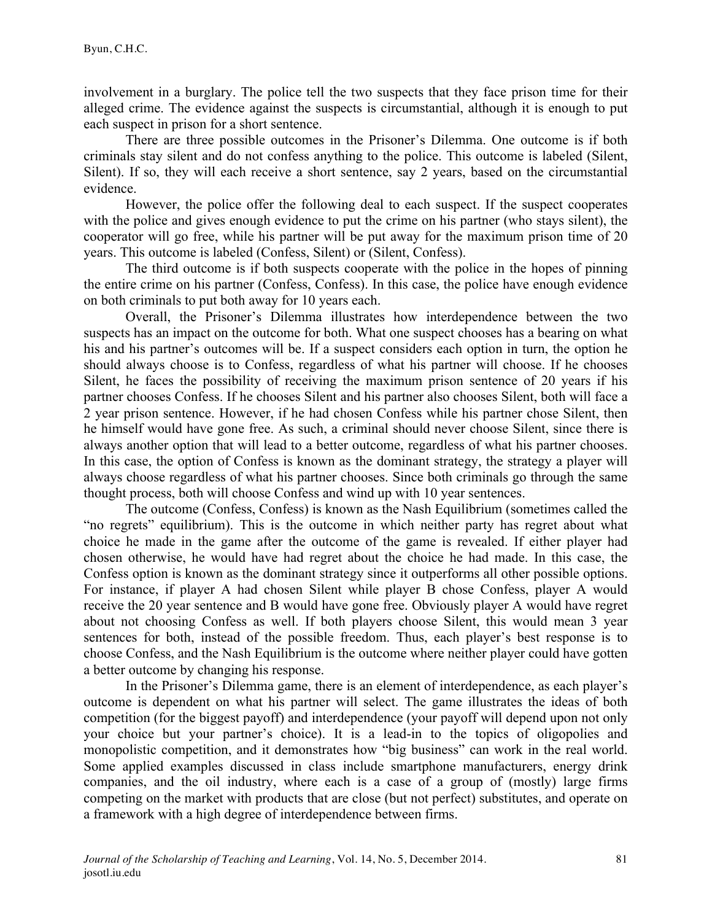involvement in a burglary. The police tell the two suspects that they face prison time for their alleged crime. The evidence against the suspects is circumstantial, although it is enough to put each suspect in prison for a short sentence.

There are three possible outcomes in the Prisoner's Dilemma. One outcome is if both criminals stay silent and do not confess anything to the police. This outcome is labeled (Silent, Silent). If so, they will each receive a short sentence, say 2 years, based on the circumstantial evidence.

However, the police offer the following deal to each suspect. If the suspect cooperates with the police and gives enough evidence to put the crime on his partner (who stays silent), the cooperator will go free, while his partner will be put away for the maximum prison time of 20 years. This outcome is labeled (Confess, Silent) or (Silent, Confess).

The third outcome is if both suspects cooperate with the police in the hopes of pinning the entire crime on his partner (Confess, Confess). In this case, the police have enough evidence on both criminals to put both away for 10 years each.

Overall, the Prisoner's Dilemma illustrates how interdependence between the two suspects has an impact on the outcome for both. What one suspect chooses has a bearing on what his and his partner's outcomes will be. If a suspect considers each option in turn, the option he should always choose is to Confess, regardless of what his partner will choose. If he chooses Silent, he faces the possibility of receiving the maximum prison sentence of 20 years if his partner chooses Confess. If he chooses Silent and his partner also chooses Silent, both will face a 2 year prison sentence. However, if he had chosen Confess while his partner chose Silent, then he himself would have gone free. As such, a criminal should never choose Silent, since there is always another option that will lead to a better outcome, regardless of what his partner chooses. In this case, the option of Confess is known as the dominant strategy, the strategy a player will always choose regardless of what his partner chooses. Since both criminals go through the same thought process, both will choose Confess and wind up with 10 year sentences.

The outcome (Confess, Confess) is known as the Nash Equilibrium (sometimes called the "no regrets" equilibrium). This is the outcome in which neither party has regret about what choice he made in the game after the outcome of the game is revealed. If either player had chosen otherwise, he would have had regret about the choice he had made. In this case, the Confess option is known as the dominant strategy since it outperforms all other possible options. For instance, if player A had chosen Silent while player B chose Confess, player A would receive the 20 year sentence and B would have gone free. Obviously player A would have regret about not choosing Confess as well. If both players choose Silent, this would mean 3 year sentences for both, instead of the possible freedom. Thus, each player's best response is to choose Confess, and the Nash Equilibrium is the outcome where neither player could have gotten a better outcome by changing his response.

In the Prisoner's Dilemma game, there is an element of interdependence, as each player's outcome is dependent on what his partner will select. The game illustrates the ideas of both competition (for the biggest payoff) and interdependence (your payoff will depend upon not only your choice but your partner's choice). It is a lead-in to the topics of oligopolies and monopolistic competition, and it demonstrates how "big business" can work in the real world. Some applied examples discussed in class include smartphone manufacturers, energy drink companies, and the oil industry, where each is a case of a group of (mostly) large firms competing on the market with products that are close (but not perfect) substitutes, and operate on a framework with a high degree of interdependence between firms.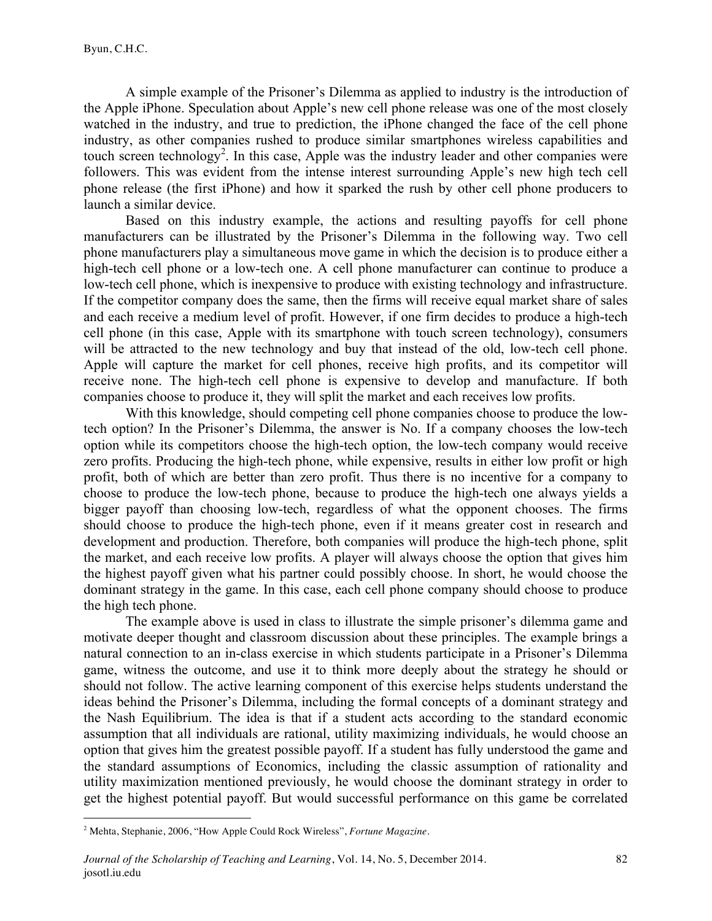A simple example of the Prisoner's Dilemma as applied to industry is the introduction of the Apple iPhone. Speculation about Apple's new cell phone release was one of the most closely watched in the industry, and true to prediction, the iPhone changed the face of the cell phone industry, as other companies rushed to produce similar smartphones wireless capabilities and touch screen technology<sup>2</sup>. In this case, Apple was the industry leader and other companies were followers. This was evident from the intense interest surrounding Apple's new high tech cell phone release (the first iPhone) and how it sparked the rush by other cell phone producers to launch a similar device.

Based on this industry example, the actions and resulting payoffs for cell phone manufacturers can be illustrated by the Prisoner's Dilemma in the following way. Two cell phone manufacturers play a simultaneous move game in which the decision is to produce either a high-tech cell phone or a low-tech one. A cell phone manufacturer can continue to produce a low-tech cell phone, which is inexpensive to produce with existing technology and infrastructure. If the competitor company does the same, then the firms will receive equal market share of sales and each receive a medium level of profit. However, if one firm decides to produce a high-tech cell phone (in this case, Apple with its smartphone with touch screen technology), consumers will be attracted to the new technology and buy that instead of the old, low-tech cell phone. Apple will capture the market for cell phones, receive high profits, and its competitor will receive none. The high-tech cell phone is expensive to develop and manufacture. If both companies choose to produce it, they will split the market and each receives low profits.

With this knowledge, should competing cell phone companies choose to produce the lowtech option? In the Prisoner's Dilemma, the answer is No. If a company chooses the low-tech option while its competitors choose the high-tech option, the low-tech company would receive zero profits. Producing the high-tech phone, while expensive, results in either low profit or high profit, both of which are better than zero profit. Thus there is no incentive for a company to choose to produce the low-tech phone, because to produce the high-tech one always yields a bigger payoff than choosing low-tech, regardless of what the opponent chooses. The firms should choose to produce the high-tech phone, even if it means greater cost in research and development and production. Therefore, both companies will produce the high-tech phone, split the market, and each receive low profits. A player will always choose the option that gives him the highest payoff given what his partner could possibly choose. In short, he would choose the dominant strategy in the game. In this case, each cell phone company should choose to produce the high tech phone.

The example above is used in class to illustrate the simple prisoner's dilemma game and motivate deeper thought and classroom discussion about these principles. The example brings a natural connection to an in-class exercise in which students participate in a Prisoner's Dilemma game, witness the outcome, and use it to think more deeply about the strategy he should or should not follow. The active learning component of this exercise helps students understand the ideas behind the Prisoner's Dilemma, including the formal concepts of a dominant strategy and the Nash Equilibrium. The idea is that if a student acts according to the standard economic assumption that all individuals are rational, utility maximizing individuals, he would choose an option that gives him the greatest possible payoff. If a student has fully understood the game and the standard assumptions of Economics, including the classic assumption of rationality and utility maximization mentioned previously, he would choose the dominant strategy in order to get the highest potential payoff. But would successful performance on this game be correlated

 <sup>2</sup> Mehta, Stephanie, 2006, "How Apple Could Rock Wireless", *Fortune Magazine*.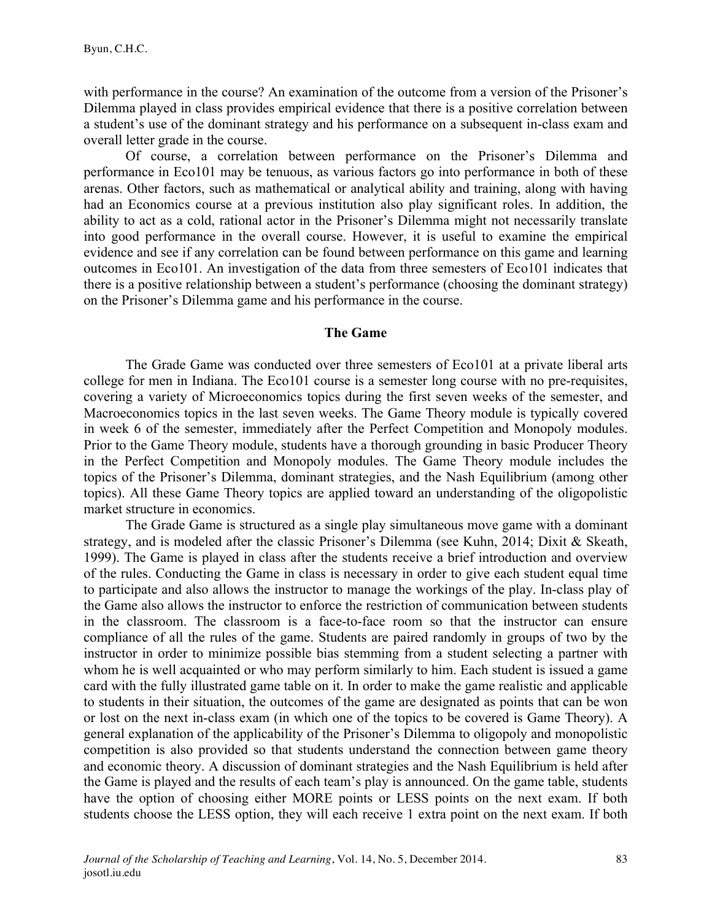with performance in the course? An examination of the outcome from a version of the Prisoner's Dilemma played in class provides empirical evidence that there is a positive correlation between a student's use of the dominant strategy and his performance on a subsequent in-class exam and overall letter grade in the course.

Of course, a correlation between performance on the Prisoner's Dilemma and performance in Eco101 may be tenuous, as various factors go into performance in both of these arenas. Other factors, such as mathematical or analytical ability and training, along with having had an Economics course at a previous institution also play significant roles. In addition, the ability to act as a cold, rational actor in the Prisoner's Dilemma might not necessarily translate into good performance in the overall course. However, it is useful to examine the empirical evidence and see if any correlation can be found between performance on this game and learning outcomes in Eco101. An investigation of the data from three semesters of Eco101 indicates that there is a positive relationship between a student's performance (choosing the dominant strategy) on the Prisoner's Dilemma game and his performance in the course.

#### **The Game**

The Grade Game was conducted over three semesters of Eco101 at a private liberal arts college for men in Indiana. The Eco101 course is a semester long course with no pre-requisites, covering a variety of Microeconomics topics during the first seven weeks of the semester, and Macroeconomics topics in the last seven weeks. The Game Theory module is typically covered in week 6 of the semester, immediately after the Perfect Competition and Monopoly modules. Prior to the Game Theory module, students have a thorough grounding in basic Producer Theory in the Perfect Competition and Monopoly modules. The Game Theory module includes the topics of the Prisoner's Dilemma, dominant strategies, and the Nash Equilibrium (among other topics). All these Game Theory topics are applied toward an understanding of the oligopolistic market structure in economics.

The Grade Game is structured as a single play simultaneous move game with a dominant strategy, and is modeled after the classic Prisoner's Dilemma (see Kuhn, 2014; Dixit & Skeath, 1999). The Game is played in class after the students receive a brief introduction and overview of the rules. Conducting the Game in class is necessary in order to give each student equal time to participate and also allows the instructor to manage the workings of the play. In-class play of the Game also allows the instructor to enforce the restriction of communication between students in the classroom. The classroom is a face-to-face room so that the instructor can ensure compliance of all the rules of the game. Students are paired randomly in groups of two by the instructor in order to minimize possible bias stemming from a student selecting a partner with whom he is well acquainted or who may perform similarly to him. Each student is issued a game card with the fully illustrated game table on it. In order to make the game realistic and applicable to students in their situation, the outcomes of the game are designated as points that can be won or lost on the next in-class exam (in which one of the topics to be covered is Game Theory). A general explanation of the applicability of the Prisoner's Dilemma to oligopoly and monopolistic competition is also provided so that students understand the connection between game theory and economic theory. A discussion of dominant strategies and the Nash Equilibrium is held after the Game is played and the results of each team's play is announced. On the game table, students have the option of choosing either MORE points or LESS points on the next exam. If both students choose the LESS option, they will each receive 1 extra point on the next exam. If both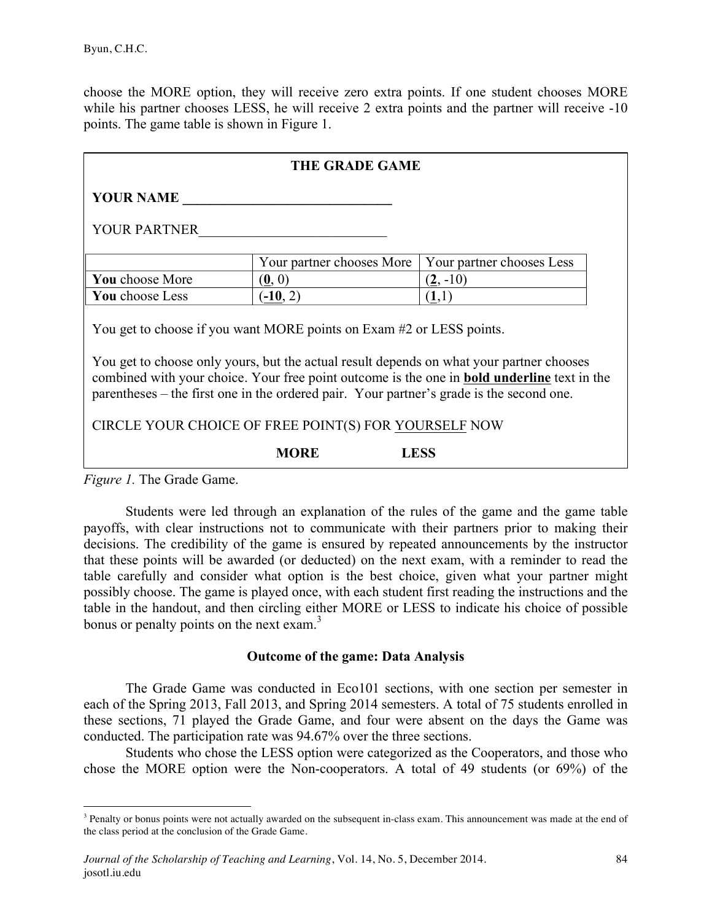choose the MORE option, they will receive zero extra points. If one student chooses MORE while his partner chooses LESS, he will receive 2 extra points and the partner will receive -10 points. The game table is shown in Figure 1.

| <b>THE GRADE GAME</b>                                                                                                                                                                                                                                                                                                                                                                                                      |                           |                           |  |  |  |
|----------------------------------------------------------------------------------------------------------------------------------------------------------------------------------------------------------------------------------------------------------------------------------------------------------------------------------------------------------------------------------------------------------------------------|---------------------------|---------------------------|--|--|--|
| <b>YOUR NAME</b>                                                                                                                                                                                                                                                                                                                                                                                                           |                           |                           |  |  |  |
| <b>YOUR PARTNER</b>                                                                                                                                                                                                                                                                                                                                                                                                        |                           |                           |  |  |  |
|                                                                                                                                                                                                                                                                                                                                                                                                                            | Your partner chooses More | Your partner chooses Less |  |  |  |
| You choose More                                                                                                                                                                                                                                                                                                                                                                                                            | (0, 0)                    | $(2, -10)$                |  |  |  |
| You choose Less                                                                                                                                                                                                                                                                                                                                                                                                            | $(-10, 2)$                | (1,1)                     |  |  |  |
| You get to choose if you want MORE points on Exam #2 or LESS points.<br>You get to choose only yours, but the actual result depends on what your partner chooses<br>combined with your choice. Your free point outcome is the one in <b>bold underline</b> text in the<br>parentheses – the first one in the ordered pair. Your partner's grade is the second one.<br>CIRCLE YOUR CHOICE OF FREE POINT(S) FOR YOURSELF NOW |                           |                           |  |  |  |
|                                                                                                                                                                                                                                                                                                                                                                                                                            | <b>MORE</b>               | <b>LESS</b>               |  |  |  |

*Figure 1.* The Grade Game.

Students were led through an explanation of the rules of the game and the game table payoffs, with clear instructions not to communicate with their partners prior to making their decisions. The credibility of the game is ensured by repeated announcements by the instructor that these points will be awarded (or deducted) on the next exam, with a reminder to read the table carefully and consider what option is the best choice, given what your partner might possibly choose. The game is played once, with each student first reading the instructions and the table in the handout, and then circling either MORE or LESS to indicate his choice of possible bonus or penalty points on the next exam. $3$ 

#### **Outcome of the game: Data Analysis**

The Grade Game was conducted in Eco101 sections, with one section per semester in each of the Spring 2013, Fall 2013, and Spring 2014 semesters. A total of 75 students enrolled in these sections, 71 played the Grade Game, and four were absent on the days the Game was conducted. The participation rate was 94.67% over the three sections.

Students who chose the LESS option were categorized as the Cooperators, and those who chose the MORE option were the Non-cooperators. A total of 49 students (or 69%) of the

<sup>&</sup>lt;sup>3</sup> Penalty or bonus points were not actually awarded on the subsequent in-class exam. This announcement was made at the end of the class period at the conclusion of the Grade Game.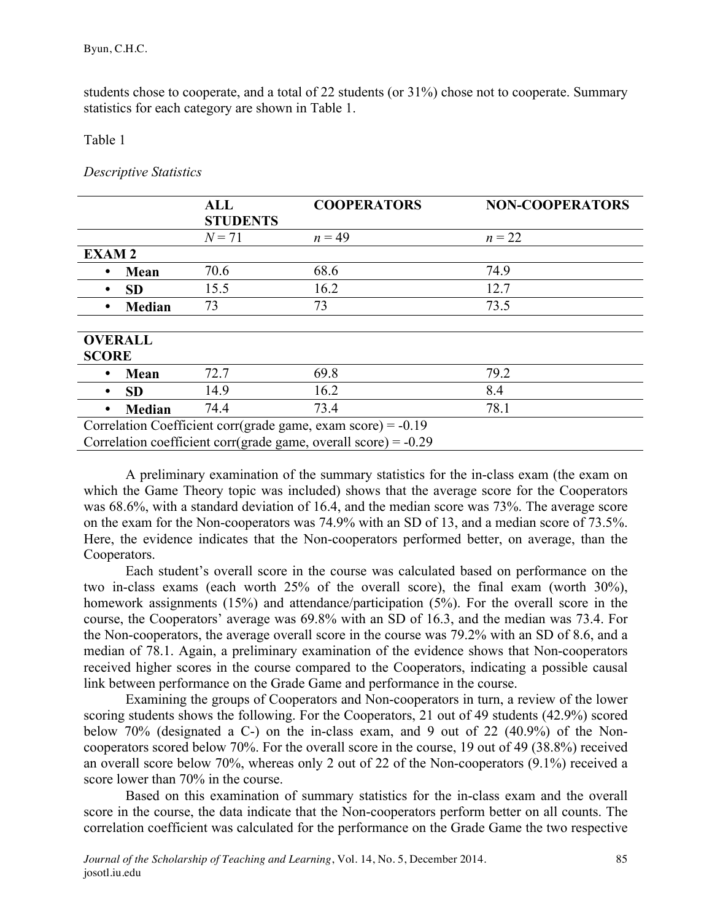students chose to cooperate, and a total of 22 students (or 31%) chose not to cooperate. Summary statistics for each category are shown in Table 1.

### Table 1

# *Descriptive Statistics*

|                            | <b>ALL</b>      | <b>COOPERATORS</b>                                                | <b>NON-COOPERATORS</b> |
|----------------------------|-----------------|-------------------------------------------------------------------|------------------------|
|                            | <b>STUDENTS</b> |                                                                   |                        |
|                            | $N = 71$        | $n = 49$                                                          | $n = 22$               |
| <b>EXAM2</b>               |                 |                                                                   |                        |
| Mean                       | 70.6            | 68.6                                                              | 74.9                   |
| <b>SD</b>                  | 15.5            | 16.2                                                              | 12.7                   |
| <b>Median</b><br>$\bullet$ | 73              | 73                                                                | 73.5                   |
|                            |                 |                                                                   |                        |
| <b>OVERALL</b>             |                 |                                                                   |                        |
| <b>SCORE</b>               |                 |                                                                   |                        |
| Mean                       | 72.7            | 69.8                                                              | 79.2                   |
| <b>SD</b><br>٠             | 14.9            | 16.2                                                              | 8.4                    |
| <b>Median</b>              | 74.4            | 73.4                                                              | 78.1                   |
|                            |                 | Correlation Coefficient corr(grade game, exam score) = $-0.19$    |                        |
|                            |                 | Correlation coefficient corr(grade game, overall score) = $-0.29$ |                        |

A preliminary examination of the summary statistics for the in-class exam (the exam on which the Game Theory topic was included) shows that the average score for the Cooperators was 68.6%, with a standard deviation of 16.4, and the median score was 73%. The average score on the exam for the Non-cooperators was 74.9% with an SD of 13, and a median score of 73.5%. Here, the evidence indicates that the Non-cooperators performed better, on average, than the Cooperators.

Each student's overall score in the course was calculated based on performance on the two in-class exams (each worth 25% of the overall score), the final exam (worth 30%), homework assignments (15%) and attendance/participation (5%). For the overall score in the course, the Cooperators' average was 69.8% with an SD of 16.3, and the median was 73.4. For the Non-cooperators, the average overall score in the course was 79.2% with an SD of 8.6, and a median of 78.1. Again, a preliminary examination of the evidence shows that Non-cooperators received higher scores in the course compared to the Cooperators, indicating a possible causal link between performance on the Grade Game and performance in the course.

Examining the groups of Cooperators and Non-cooperators in turn, a review of the lower scoring students shows the following. For the Cooperators, 21 out of 49 students (42.9%) scored below 70% (designated a C-) on the in-class exam, and 9 out of 22 (40.9%) of the Noncooperators scored below 70%. For the overall score in the course, 19 out of 49 (38.8%) received an overall score below 70%, whereas only 2 out of 22 of the Non-cooperators (9.1%) received a score lower than 70% in the course.

Based on this examination of summary statistics for the in-class exam and the overall score in the course, the data indicate that the Non-cooperators perform better on all counts. The correlation coefficient was calculated for the performance on the Grade Game the two respective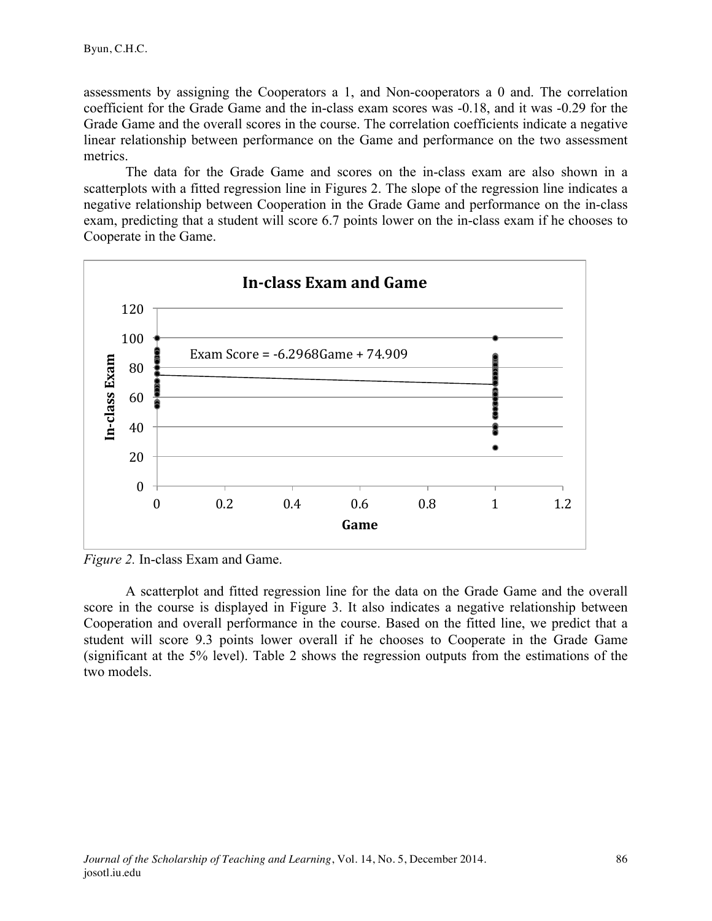assessments by assigning the Cooperators a 1, and Non-cooperators a 0 and. The correlation coefficient for the Grade Game and the in-class exam scores was -0.18, and it was -0.29 for the Grade Game and the overall scores in the course. The correlation coefficients indicate a negative linear relationship between performance on the Game and performance on the two assessment metrics.

The data for the Grade Game and scores on the in-class exam are also shown in a scatterplots with a fitted regression line in Figures 2. The slope of the regression line indicates a negative relationship between Cooperation in the Grade Game and performance on the in-class exam, predicting that a student will score 6.7 points lower on the in-class exam if he chooses to Cooperate in the Game.



*Figure 2.* In-class Exam and Game.

A scatterplot and fitted regression line for the data on the Grade Game and the overall score in the course is displayed in Figure 3. It also indicates a negative relationship between Cooperation and overall performance in the course. Based on the fitted line, we predict that a student will score 9.3 points lower overall if he chooses to Cooperate in the Grade Game (significant at the 5% level). Table 2 shows the regression outputs from the estimations of the two models.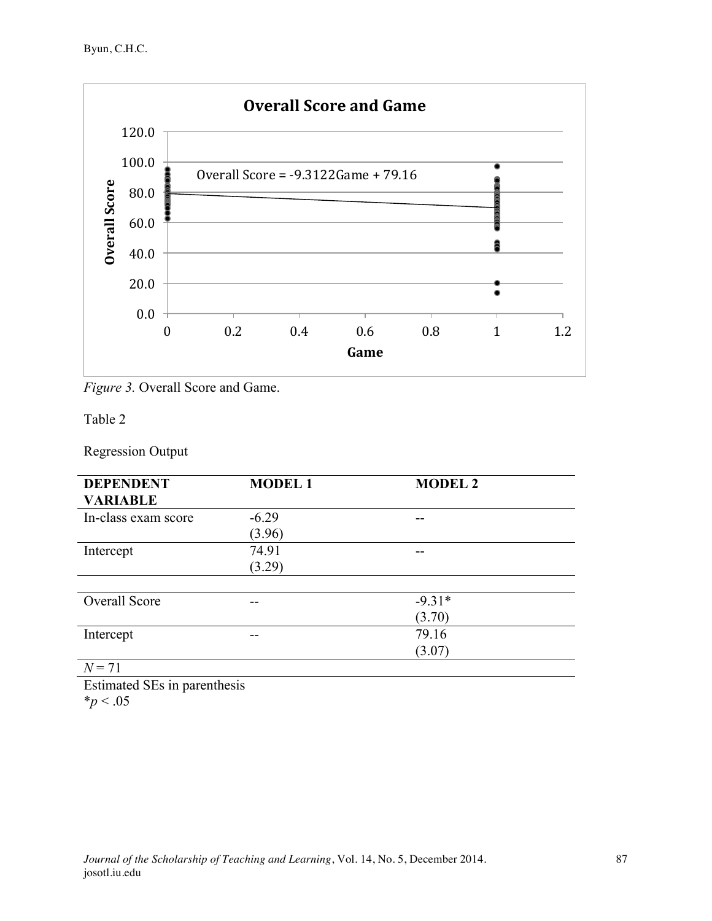

*Figure 3.* Overall Score and Game.

# Table 2

Regression Output

| <b>DEPENDENT</b>                                        | <b>MODEL1</b> | <b>MODEL 2</b> |  |
|---------------------------------------------------------|---------------|----------------|--|
| <b>VARIABLE</b>                                         |               |                |  |
| In-class exam score                                     | $-6.29$       |                |  |
|                                                         | (3.96)        |                |  |
| Intercept                                               | 74.91         |                |  |
|                                                         | (3.29)        |                |  |
|                                                         |               |                |  |
| Overall Score                                           | --            | $-9.31*$       |  |
|                                                         |               | (3.70)         |  |
| Intercept                                               | --            | 79.16          |  |
|                                                         |               | (3.07)         |  |
| $\rightarrow$ $\rightarrow$ $\rightarrow$ $\rightarrow$ |               |                |  |

 $N = 71$ 

Estimated SEs in parenthesis \**p* < .05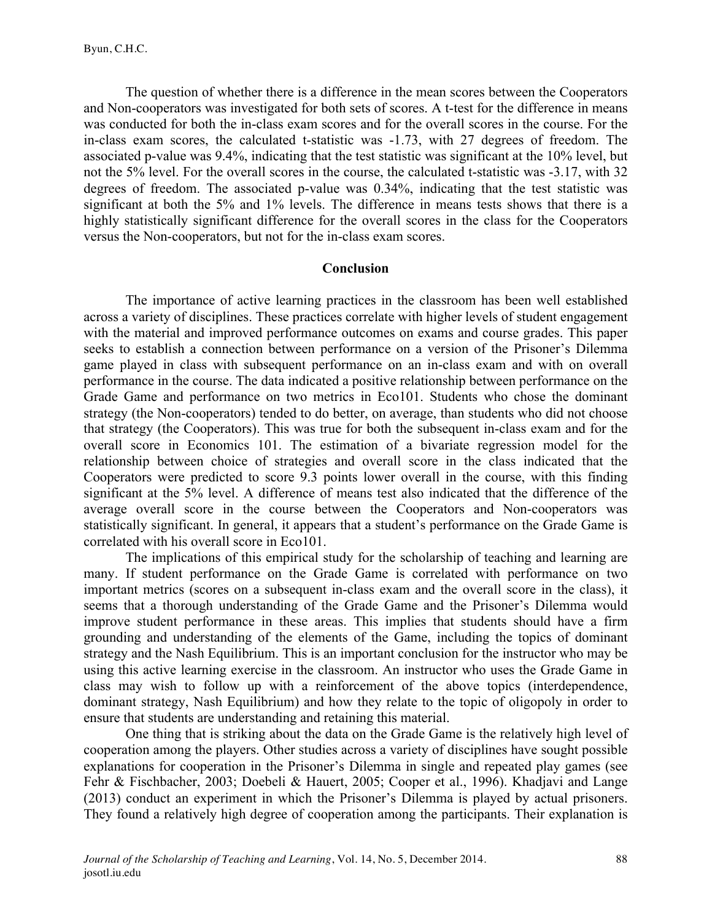The question of whether there is a difference in the mean scores between the Cooperators and Non-cooperators was investigated for both sets of scores. A t-test for the difference in means was conducted for both the in-class exam scores and for the overall scores in the course. For the in-class exam scores, the calculated t-statistic was -1.73, with 27 degrees of freedom. The associated p-value was 9.4%, indicating that the test statistic was significant at the 10% level, but not the 5% level. For the overall scores in the course, the calculated t-statistic was -3.17, with 32 degrees of freedom. The associated p-value was 0.34%, indicating that the test statistic was significant at both the 5% and 1% levels. The difference in means tests shows that there is a highly statistically significant difference for the overall scores in the class for the Cooperators versus the Non-cooperators, but not for the in-class exam scores.

#### **Conclusion**

The importance of active learning practices in the classroom has been well established across a variety of disciplines. These practices correlate with higher levels of student engagement with the material and improved performance outcomes on exams and course grades. This paper seeks to establish a connection between performance on a version of the Prisoner's Dilemma game played in class with subsequent performance on an in-class exam and with on overall performance in the course. The data indicated a positive relationship between performance on the Grade Game and performance on two metrics in Eco101. Students who chose the dominant strategy (the Non-cooperators) tended to do better, on average, than students who did not choose that strategy (the Cooperators). This was true for both the subsequent in-class exam and for the overall score in Economics 101. The estimation of a bivariate regression model for the relationship between choice of strategies and overall score in the class indicated that the Cooperators were predicted to score 9.3 points lower overall in the course, with this finding significant at the 5% level. A difference of means test also indicated that the difference of the average overall score in the course between the Cooperators and Non-cooperators was statistically significant. In general, it appears that a student's performance on the Grade Game is correlated with his overall score in Eco101.

The implications of this empirical study for the scholarship of teaching and learning are many. If student performance on the Grade Game is correlated with performance on two important metrics (scores on a subsequent in-class exam and the overall score in the class), it seems that a thorough understanding of the Grade Game and the Prisoner's Dilemma would improve student performance in these areas. This implies that students should have a firm grounding and understanding of the elements of the Game, including the topics of dominant strategy and the Nash Equilibrium. This is an important conclusion for the instructor who may be using this active learning exercise in the classroom. An instructor who uses the Grade Game in class may wish to follow up with a reinforcement of the above topics (interdependence, dominant strategy, Nash Equilibrium) and how they relate to the topic of oligopoly in order to ensure that students are understanding and retaining this material.

One thing that is striking about the data on the Grade Game is the relatively high level of cooperation among the players. Other studies across a variety of disciplines have sought possible explanations for cooperation in the Prisoner's Dilemma in single and repeated play games (see Fehr & Fischbacher, 2003; Doebeli & Hauert, 2005; Cooper et al., 1996). Khadjavi and Lange (2013) conduct an experiment in which the Prisoner's Dilemma is played by actual prisoners. They found a relatively high degree of cooperation among the participants. Their explanation is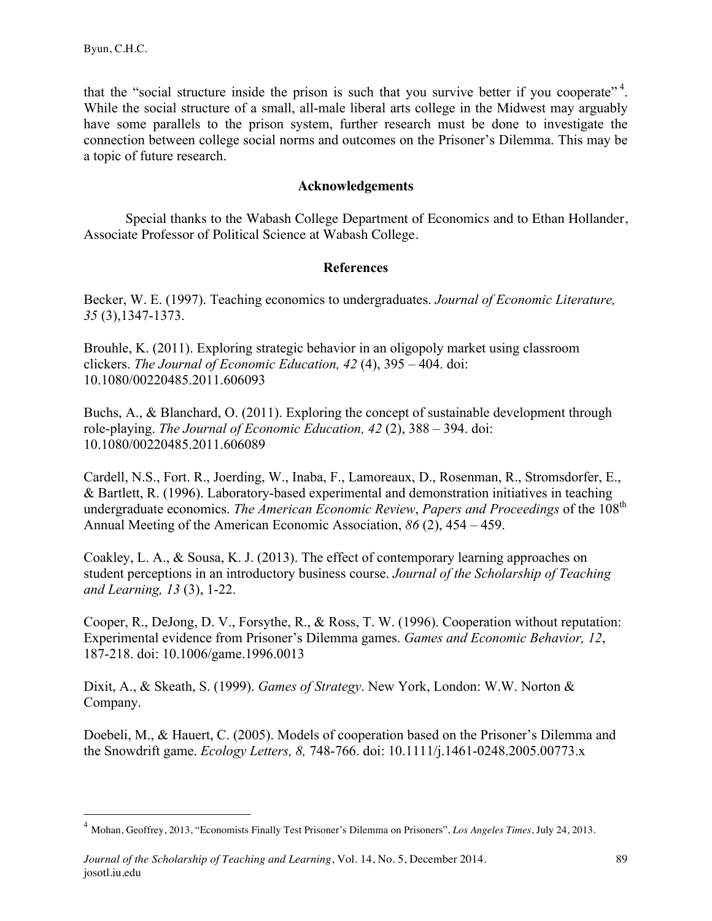that the "social structure inside the prison is such that you survive better if you cooperate"<sup>4</sup>. While the social structure of a small, all-male liberal arts college in the Midwest may arguably have some parallels to the prison system, further research must be done to investigate the connection between college social norms and outcomes on the Prisoner's Dilemma. This may be a topic of future research.

# **Acknowledgements**

Special thanks to the Wabash College Department of Economics and to Ethan Hollander, Associate Professor of Political Science at Wabash College.

# **References**

Becker, W. E. (1997). Teaching economics to undergraduates. *Journal of Economic Literature, 35* (3),1347-1373.

Brouhle, K. (2011). Exploring strategic behavior in an oligopoly market using classroom clickers. *The Journal of Economic Education, 42* (4), 395 – 404. doi: 10.1080/00220485.2011.606093

Buchs, A., & Blanchard, O. (2011). Exploring the concept of sustainable development through role-playing. *The Journal of Economic Education, 42* (2), 388 – 394. doi: 10.1080/00220485.2011.606089

Cardell, N.S., Fort. R., Joerding, W., Inaba, F., Lamoreaux, D., Rosenman, R., Stromsdorfer, E., & Bartlett, R. (1996). Laboratory-based experimental and demonstration initiatives in teaching undergraduate economics. *The American Economic Review*, *Papers and Proceedings* of the 108th Annual Meeting of the American Economic Association, *86* (2), 454 – 459.

Coakley, L. A., & Sousa, K. J. (2013). The effect of contemporary learning approaches on student perceptions in an introductory business course. *Journal of the Scholarship of Teaching and Learning, 13* (3), 1-22.

Cooper, R., DeJong, D. V., Forsythe, R., & Ross, T. W. (1996). Cooperation without reputation: Experimental evidence from Prisoner's Dilemma games. *Games and Economic Behavior, 12*, 187-218. doi: 10.1006/game.1996.0013

Dixit, A., & Skeath, S. (1999). *Games of Strategy*. New York, London: W.W. Norton & Company.

Doebeli, M., & Hauert, C. (2005). Models of cooperation based on the Prisoner's Dilemma and the Snowdrift game. *Ecology Letters, 8,* 748-766. doi: 10.1111/j.1461-0248.2005.00773.x

 <sup>4</sup> Mohan, Geoffrey, 2013, "Economists Finally Test Prisoner's Dilemma on Prisoners", *Los Angeles Times*, July 24, 2013.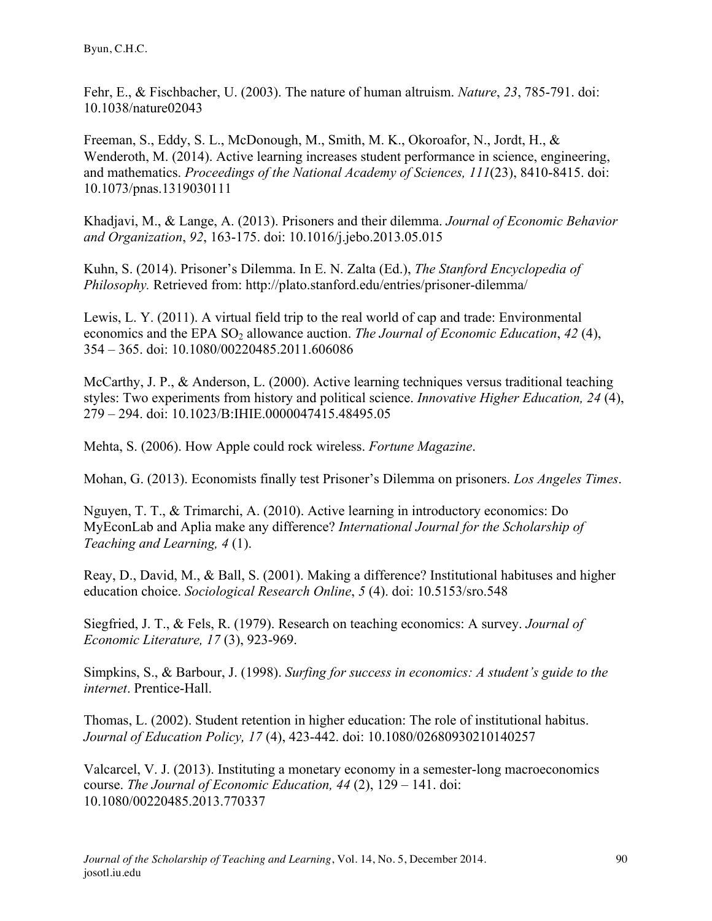Fehr, E., & Fischbacher, U. (2003). The nature of human altruism. *Nature*, *23*, 785-791. doi: 10.1038/nature02043

Freeman, S., Eddy, S. L., McDonough, M., Smith, M. K., Okoroafor, N., Jordt, H., & Wenderoth, M. (2014). Active learning increases student performance in science, engineering, and mathematics. *Proceedings of the National Academy of Sciences, 111*(23), 8410-8415. doi: 10.1073/pnas.1319030111

Khadjavi, M., & Lange, A. (2013). Prisoners and their dilemma. *Journal of Economic Behavior and Organization*, *92*, 163-175. doi: 10.1016/j.jebo.2013.05.015

Kuhn, S. (2014). Prisoner's Dilemma. In E. N. Zalta (Ed.), *The Stanford Encyclopedia of Philosophy.* Retrieved from: http://plato.stanford.edu/entries/prisoner-dilemma/

Lewis, L. Y. (2011). A virtual field trip to the real world of cap and trade: Environmental economics and the EPA SO<sub>2</sub> allowance auction. *The Journal of Economic Education*, 42(4), 354 – 365. doi: 10.1080/00220485.2011.606086

McCarthy, J. P., & Anderson, L. (2000). Active learning techniques versus traditional teaching styles: Two experiments from history and political science. *Innovative Higher Education, 24* (4), 279 – 294. doi: 10.1023/B:IHIE.0000047415.48495.05

Mehta, S. (2006). How Apple could rock wireless. *Fortune Magazine*.

Mohan, G. (2013). Economists finally test Prisoner's Dilemma on prisoners. *Los Angeles Times*.

Nguyen, T. T., & Trimarchi, A. (2010). Active learning in introductory economics: Do MyEconLab and Aplia make any difference? *International Journal for the Scholarship of Teaching and Learning, 4* (1).

Reay, D., David, M., & Ball, S. (2001). Making a difference? Institutional habituses and higher education choice. *Sociological Research Online*, *5* (4). doi: 10.5153/sro.548

Siegfried, J. T., & Fels, R. (1979). Research on teaching economics: A survey. *Journal of Economic Literature, 17* (3), 923-969.

Simpkins, S., & Barbour, J. (1998). *Surfing for success in economics: A student's guide to the internet*. Prentice-Hall.

Thomas, L. (2002). Student retention in higher education: The role of institutional habitus. *Journal of Education Policy, 17* (4), 423-442. doi: 10.1080/02680930210140257

Valcarcel, V. J. (2013). Instituting a monetary economy in a semester-long macroeconomics course. *The Journal of Economic Education, 44* (2), 129 – 141. doi: 10.1080/00220485.2013.770337